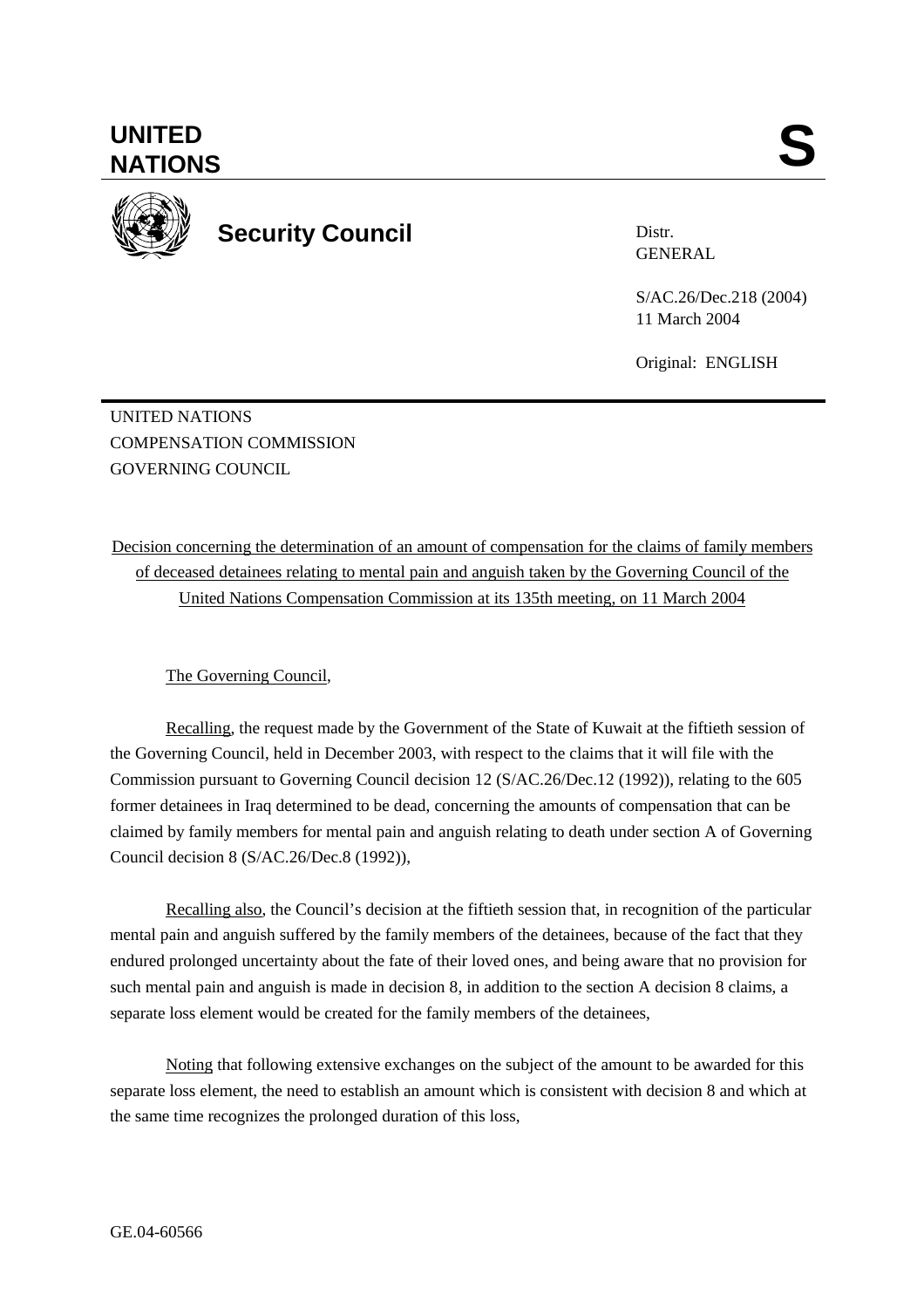Distr. GENERAL

S/AC.26/Dec.218 (2004) 11 March 2004

Original: ENGLISH

UNITED NATIONS COMPENSATION COMMISSION GOVERNING COUNCIL

Decision concerning the determination of an amount of compensation for the claims of family members of deceased detainees relating to mental pain and anguish taken by the Governing Council of the United Nations Compensation Commission at its 135th meeting, on 11 March 2004

## The Governing Council,

Recalling, the request made by the Government of the State of Kuwait at the fiftieth session of the Governing Council, held in December 2003, with respect to the claims that it will file with the Commission pursuant to Governing Council decision 12 (S/AC.26/Dec.12 (1992)), relating to the 605 former detainees in Iraq determined to be dead, concerning the amounts of compensation that can be claimed by family members for mental pain and anguish relating to death under section A of Governing Council decision 8 (S/AC.26/Dec.8 (1992)),

Recalling also, the Council's decision at the fiftieth session that, in recognition of the particular mental pain and anguish suffered by the family members of the detainees, because of the fact that they endured prolonged uncertainty about the fate of their loved ones, and being aware that no provision for such mental pain and anguish is made in decision 8, in addition to the section A decision 8 claims, a separate loss element would be created for the family members of the detainees,

 Noting that following extensive exchanges on the subject of the amount to be awarded for this separate loss element, the need to establish an amount which is consistent with decision 8 and which at the same time recognizes the prolonged duration of this loss,

## **UNITED**  UNITED SANTIONS



**Security Council**